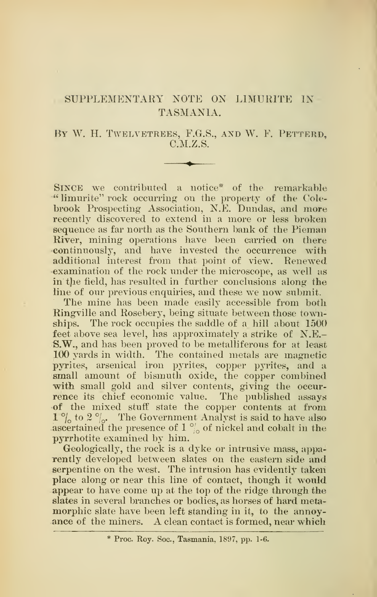## SUPPLEMENTARY NOTE ON LIMURITE IN TASMANIA.

## By W. H. Twelvetrees, F.G.S., and W. F. Petterd, C.M.Z.S.

Since we contributed a notice\* of the remarkable " limurite" rock occurring on the property of the Colebrook Prospecting Association, N.E. Dundas, and more recently discovered to extend in a more or less broken sequence as far north as the Southern bank of the Pieman River, mining operations have been carried on there •continuously, and have invested the occurrence with additional interest from that point of view. Renewed examination of the rock under the microscope, as well as in the field, has resulted in further conclusions along the line of our previous enquiries, and these we now submit.

The mine has been made easily accessible from both Ringville and Rosebery, being situate between those townships. The rock occupies the saddle of a hill about 1500 feet above sea level, has approximately a strike of N.E.- S.W., and has been proved to be metalliferous for at least 100 yards in width. The contained metals are magnetic pyrites, arsenical iron pyrites, copper pyrites, and a small amount of bismuth oxide, the copper combined with small gold and silver contents, giving the occurrence its chief economic value. The published assays of the mixed stuff state the copper contents at from  $1 \degree$ <sub>0</sub> to 2  $\degree$ <sub>0</sub>. The Government Analyst is said to have also ascertained the presence of 1  $\frac{\omega_o}{\omega_o}$  of nickel and cobalt in the pyrrhotite examined by him.

Geologically, the rock is a dyke or intrusive mass, apparently developed between slates on the eastern side and serpentine on the west. The intrusion has evidently taken place along or near this line of contact, though it would appear to have come up at the top of the ridge through the slates in several branches or bodies, as horses of hard metamorphic slate have been left standing in it, to the annoyance of the miners. A clean contact is formed, near which

<sup>\*</sup> Proc. Roy. Soc, Tasmania, 1897, pp. 1-6.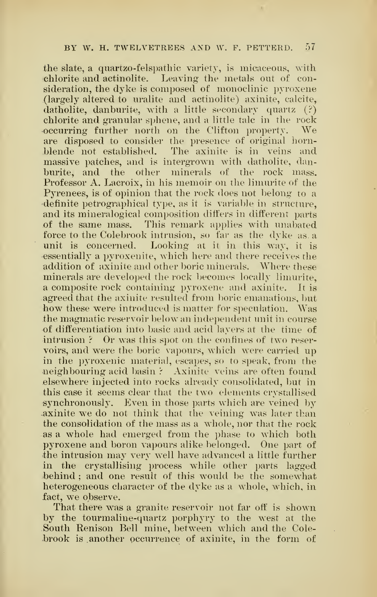## BY W. H. TWELYETREE8 AND W. F. PETTERD. 57

the slate, a quartzo-felspathic variety, is micaceous, with chlorite and actinolite. Leaying' the metals out of consideration, the dyke is composed of monoclinic pyroxene (largely altered to uralite and actinolite) axinite, calcite, datholite, danburite, with a little secondary quartz (?) chlorite and granular sphene, and a little talc in the rock occurring further north on the Clifton property. are disposed to consider the presence of original hornblende not established. The axinite is in veins and massive patches, and is intergrown with datholite, danburite, and the other minerals of the rock mass. Professor A. Lacroix, in his memoir on the limurite of the Pyrenees, is of opinion that the rock does not belong to a definite petrographical type, as it is variable in structure, and its mineralogical composition differs in different parts of the same mass. This remark applies with unabated force to the Colebrook intrusion, so far as the dyke as. a unit is concerned. Looking at it in this way, it is essentially a pyroxenite, which here and there receives the addition of axinite and other boric minerals. Where these minerals are developed the rock becomes locally limurite. a composite rock containing pyroxene and axinite. It is agreed that the axinite resulted from boric emanations, but how these were introduced is matter for speculation. Was the magmatic reservoir below an independent unit in course of differentiation into basic and acid layers at the time of intrusion ? Or was this spot on the confines of two reservoirs, and were the boric vapours, which were carried up in the pyroxenic material, escapes, so to speak, from the neighbouring acid basin ? Axinite veins are often found elsewhere injected into rocks already consolidated, but in this case it seems clear that the two elements crystallised synchronously. Even in those parts which are veined by axinite we do not think that the veining was later than the consolidation of the mass as a whole, nor that the rock as a whole had emerged from the phase to which both pyroxene and boron vapours alike belonged. One part of the intrusion may very well have advanced <sup>a</sup> little further in the crystallising process while other parts lagged behind ; and one result of this would be the somewhat heterogeneous character of the dyke as a whole, which, in fact, we observe.

That there was a granite reservoir not far off is shown by the tourmaline-quartz porphyry to the west at the South Renison Bell mine, between which and the Colebrook is another occurrence of axinite, in the form of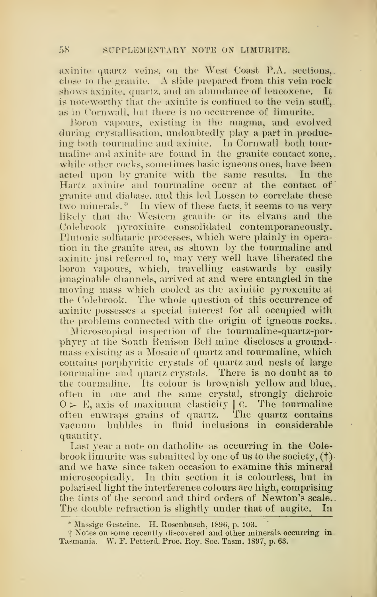axinite quartz veins, on the West Coast P.A. sections,. close to the granite. A slide prepared from this vein rock shows axinite, quartz, and an abundance of leucoxene. It is noteworthy that the axinite is confined to the vein stuff, as in Cornwall, but there is no occurrence of limurite.

Boron vapours, existing in the magma, and evolved during crystallisation, undoubtedly play a part in producing both tourmaline and axinite. In Cornwall both tourmaline and axinite are found in the granite contact zone, while other rocks, sometimes basic igneous ones, have been acted upon by granite with the same results. In the Hartz axinite and tourmaline occur at the contact of granite and diabase, and this led Lossen to correlate these two minerals. " In view of these facts, it seems to us very likely that the Western granite or its elvans and the Coiebrook pyroxinite consolidated contemporaneously. Plutonic solfataric processes, which were plainly in operation in the granite area, as shown by the tourmaline and axinite just referred to, may very well have liberated the boron vapours, which, travelling eastwards by easily imaginable channels, arrived at and were entangled in the moving mass which cooled as the axinitic pyroxenite at the Coiebrook. The whole question of this occurrence of axinite possesses a special interest for all occupied with the problems connected with the origin of igneous rocks.

Microscopical inspection of the tourmaline-quartz-porphyry at the South Renison Bell mine discloses a groundmass existing as a Mosaic of quartz and tourmaline, which contains porphyritic crystals of quartz and nests of large tourmaline and quartz crystals. There is no doubt as to the tourmaline. Its colour is brownish yellow and blue, often in one and the same crystal, strongly dichroic  $0 > E$ , axis of maximum elasticity || C. The tourmaline often enwraps grains of quartz. The quartz contains vacuum bubbles in fluid inclusions in considerable quantity.

Last year a note on datholite as occurring in the Colebrook limurite was submitted by one of us to the society,  $(\dagger)$ . and we have since taken occasion to examine this mineral microscopically. In thin section it is colourless, but in polarised light the interference colours are high, comprising the tints of the second and third orders of Newton's scale. The double refraction is slightly under that of augite. In

<sup>\*</sup> Massige Gesteine. H. Rosenbusch, 1896, p. 103.

 $\dagger$  Notes on some recently discovered and other minerals occurring in Tasmania. W. F. Petterd. Proc. Roy. Soc. Tasm. 1897, p. 63.